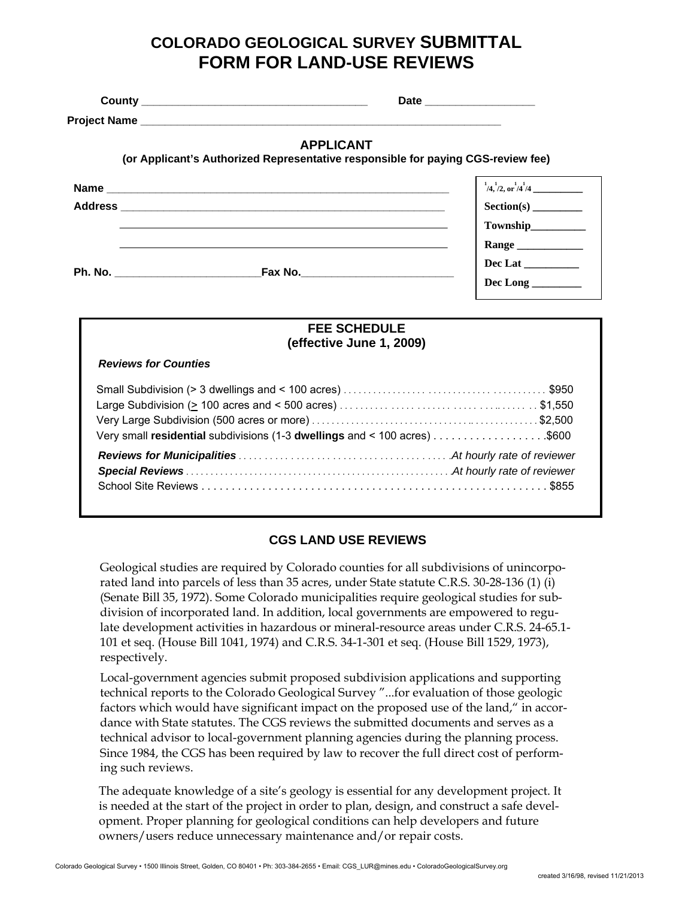# **COLORADO GEOLOGICAL SURVEY SUBMITTAL FORM FOR LAND-USE REVIEWS**

 **County \_\_\_\_\_\_\_\_\_\_\_\_\_\_\_\_\_\_\_\_\_\_\_\_\_\_\_\_\_\_\_\_\_\_\_\_\_ Date \_\_\_\_\_\_\_\_\_\_\_\_\_\_\_\_\_\_** 

**Project Name** 

#### **APPLICANT**

**(or Applicant's Authorized Representative responsible for paying CGS-review fee)** 

| <b>Name</b>    |         | $^{1}/4$ , $^{1}/2$ , or $^{1}/4$ /4 |
|----------------|---------|--------------------------------------|
| <b>Address</b> |         |                                      |
|                |         | Township__________                   |
|                |         | Range                                |
| Ph. No.        | Fax No. | Dec Lat                              |
|                |         | Dec Long                             |

#### **FEE SCHEDULE (effective June 1, 2009)**

|  | <b>Reviews for Counties</b> |
|--|-----------------------------|
|  |                             |

### **CGS LAND USE REVIEWS**

Geological studies are required by Colorado counties for all subdivisions of unincorporated land into parcels of less than 35 acres, under State statute C.R.S. 30-28-136 (1) (i) (Senate Bill 35, 1972). Some Colorado municipalities require geological studies for subdivision of incorporated land. In addition, local governments are empowered to regulate development activities in hazardous or mineral-resource areas under C.R.S. 24-65.1- 101 et seq. (House Bill 1041, 1974) and C.R.S. 34-1-301 et seq. (House Bill 1529, 1973), respectively.

Local-government agencies submit proposed subdivision applications and supporting technical reports to the Colorado Geological Survey "...for evaluation of those geologic factors which would have significant impact on the proposed use of the land," in accordance with State statutes. The CGS reviews the submitted documents and serves as a technical advisor to local-government planning agencies during the planning process. Since 1984, the CGS has been required by law to recover the full direct cost of performing such reviews.

The adequate knowledge of a site's geology is essential for any development project. It is needed at the start of the project in order to plan, design, and construct a safe development. Proper planning for geological conditions can help developers and future owners/users reduce unnecessary maintenance and/or repair costs.